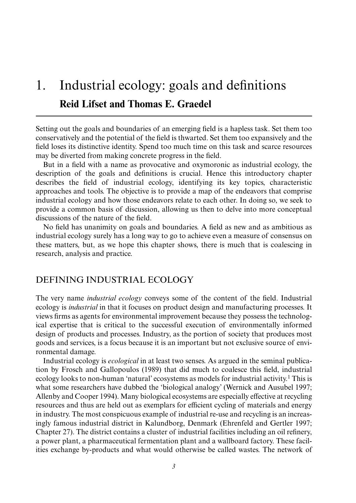# 1. Industrial ecology: goals and definitions **Reid Lifset and Thomas E. Graedel**

Setting out the goals and boundaries of an emerging field is a hapless task. Set them too conservatively and the potential of the field is thwarted. Set them too expansively and the field loses its distinctive identity. Spend too much time on this task and scarce resources may be diverted from making concrete progress in the field.

But in a field with a name as provocative and oxymoronic as industrial ecology, the description of the goals and definitions is crucial. Hence this introductory chapter describes the field of industrial ecology, identifying its key topics, characteristic approaches and tools. The objective is to provide a map of the endeavors that comprise industrial ecology and how those endeavors relate to each other. In doing so, we seek to provide a common basis of discussion, allowing us then to delve into more conceptual discussions of the nature of the field.

No field has unanimity on goals and boundaries. A field as new and as ambitious as industrial ecology surely has a long way to go to achieve even a measure of consensus on these matters, but, as we hope this chapter shows, there is much that is coalescing in research, analysis and practice.

# DEFINING INDUSTRIAL ECOLOGY

The very name *industrial ecology* conveys some of the content of the field. Industrial ecology is *industrial* in that it focuses on product design and manufacturing processes. It views firms as agents for environmental improvement because they possess the technological expertise that is critical to the successful execution of environmentally informed design of products and processes. Industry, as the portion of society that produces most goods and services, is a focus because it is an important but not exclusive source of environmental damage.

Industrial ecology is *ecological* in at least two senses. As argued in the seminal publication by Frosch and Gallopoulos (1989) that did much to coalesce this field, industrial ecology looks to non-human 'natural' ecosystems as models for industrial activity.1 This is what some researchers have dubbed the 'biological analogy' (Wernick and Ausubel 1997; Allenby and Cooper 1994). Many biological ecosystems are especially effective at recycling resources and thus are held out as exemplars for efficient cycling of materials and energy in industry. The most conspicuous example of industrial re-use and recycling is an increasingly famous industrial district in Kalundborg, Denmark (Ehrenfeld and Gertler 1997; Chapter 27). The district contains a cluster of industrial facilities including an oil refinery, a power plant, a pharmaceutical fermentation plant and a wallboard factory. These facilities exchange by-products and what would otherwise be called wastes. The network of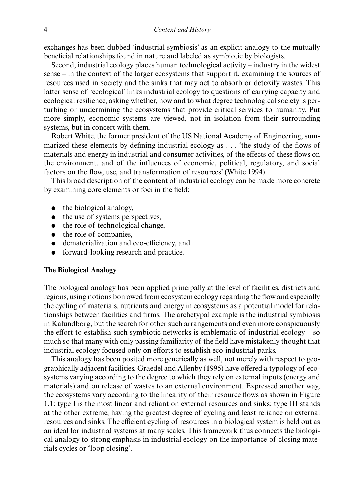exchanges has been dubbed 'industrial symbiosis' as an explicit analogy to the mutually beneficial relationships found in nature and labeled as symbiotic by biologists.

Second, industrial ecology places human technological activity – industry in the widest sense – in the context of the larger ecosystems that support it, examining the sources of resources used in society and the sinks that may act to absorb or detoxify wastes. This latter sense of 'ecological' links industrial ecology to questions of carrying capacity and ecological resilience, asking whether, how and to what degree technological society is perturbing or undermining the ecosystems that provide critical services to humanity. Put more simply, economic systems are viewed, not in isolation from their surrounding systems, but in concert with them.

Robert White, the former president of the US National Academy of Engineering, summarized these elements by defining industrial ecology as . . . 'the study of the flows of materials and energy in industrial and consumer activities, of the effects of these flows on the environment, and of the influences of economic, political, regulatory, and social factors on the flow, use, and transformation of resources' (White 1994).

This broad description of the content of industrial ecology can be made more concrete by examining core elements or foci in the field:

- the biological analogy,
- the use of systems perspectives,
- $\bullet$  the role of technological change,
- the role of companies,
- dematerialization and eco-efficiency, and
- forward-looking research and practice.

#### **The Biological Analogy**

The biological analogy has been applied principally at the level of facilities, districts and regions, using notions borrowed from ecosystem ecology regarding the flow and especially the cycling of materials, nutrients and energy in ecosystems as a potential model for relationships between facilities and firms. The archetypal example is the industrial symbiosis in Kalundborg, but the search for other such arrangements and even more conspicuously the effort to establish such symbiotic networks is emblematic of industrial ecology – so much so that many with only passing familiarity of the field have mistakenly thought that industrial ecology focused only on efforts to establish eco-industrial parks.

This analogy has been posited more generically as well, not merely with respect to geographically adjacent facilities. Graedel and Allenby (1995) have offered a typology of ecosystems varying according to the degree to which they rely on external inputs (energy and materials) and on release of wastes to an external environment. Expressed another way, the ecosystems vary according to the linearity of their resource flows as shown in Figure 1.1: type I is the most linear and reliant on external resources and sinks; type III stands at the other extreme, having the greatest degree of cycling and least reliance on external resources and sinks. The efficient cycling of resources in a biological system is held out as an ideal for industrial systems at many scales. This framework thus connects the biological analogy to strong emphasis in industrial ecology on the importance of closing materials cycles or 'loop closing'.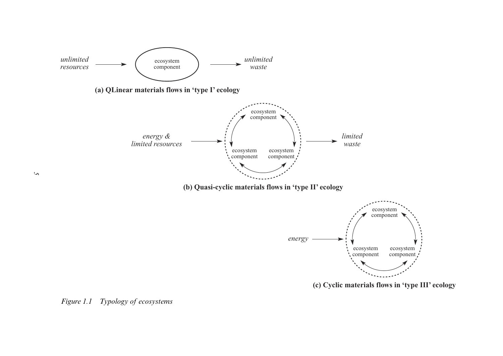



**(c) Cyclic materials flows in 'type III' ecology**

*Figure 1.1 Typology of ecosystems*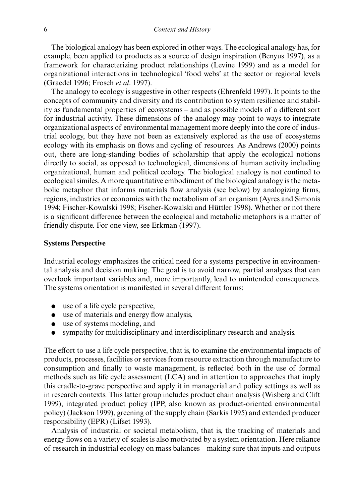The biological analogy has been explored in other ways. The ecological analogy has, for example, been applied to products as a source of design inspiration (Benyus 1997), as a framework for characterizing product relationships (Levine 1999) and as a model for organizational interactions in technological 'food webs' at the sector or regional levels (Graedel 1996; Frosch *et al*. 1997).

The analogy to ecology is suggestive in other respects (Ehrenfeld 1997). It points to the concepts of community and diversity and its contribution to system resilience and stability as fundamental properties of ecosystems – and as possible models of a different sort for industrial activity. These dimensions of the analogy may point to ways to integrate organizational aspects of environmental management more deeply into the core of industrial ecology, but they have not been as extensively explored as the use of ecosystems ecology with its emphasis on flows and cycling of resources. As Andrews (2000) points out, there are long-standing bodies of scholarship that apply the ecological notions directly to social, as opposed to technological, dimensions of human activity including organizational, human and political ecology. The biological analogy is not confined to ecological similes. A more quantitative embodiment of the biological analogy is the metabolic metaphor that informs materials flow analysis (see below) by analogizing firms, regions, industries or economies with the metabolism of an organism (Ayres and Simonis 1994; Fischer-Kowalski 1998; Fischer-Kowalski and Hüttler 1998). Whether or not there is a significant difference between the ecological and metabolic metaphors is a matter of friendly dispute. For one view, see Erkman (1997).

#### **Systems Perspective**

Industrial ecology emphasizes the critical need for a systems perspective in environmental analysis and decision making. The goal is to avoid narrow, partial analyses that can overlook important variables and, more importantly, lead to unintended consequences. The systems orientation is manifested in several different forms:

- use of a life cycle perspective,
- use of materials and energy flow analysis,
- use of systems modeling, and
- sympathy for multidisciplinary and interdisciplinary research and analysis.

The effort to use a life cycle perspective, that is, to examine the environmental impacts of products, processes, facilities or services from resource extraction through manufacture to consumption and finally to waste management, is reflected both in the use of formal methods such as life cycle assessment (LCA) and in attention to approaches that imply this cradle-to-grave perspective and apply it in managerial and policy settings as well as in research contexts. This latter group includes product chain analysis (Wisberg and Clift 1999), integrated product policy (IPP, also known as product-oriented environmental policy) (Jackson 1999), greening of the supply chain (Sarkis 1995) and extended producer responsibility (EPR) (Lifset 1993).

Analysis of industrial or societal metabolism, that is, the tracking of materials and energy flows on a variety of scales is also motivated by a system orientation. Here reliance of research in industrial ecology on mass balances – making sure that inputs and outputs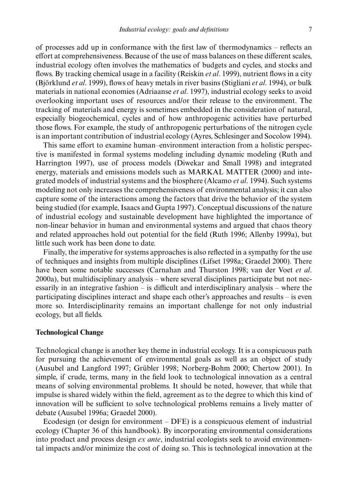of processes add up in conformance with the first law of thermodynamics – reflects an effort at comprehensiveness. Because of the use of mass balances on these different scales, industrial ecology often involves the mathematics of budgets and cycles, and stocks and flows. By tracking chemical usage in a facility (Reiskin *et al*. 1999), nutrient flows in a city (Björklund *et al*. 1999), flows of heavy metals in river basins (Stigliani *et al*. 1994), or bulk materials in national economies (Adriaanse *et al*. 1997), industrial ecology seeks to avoid overlooking important uses of resources and/or their release to the environment. The tracking of materials and energy is sometimes embedded in the consideration of natural, especially biogeochemical, cycles and of how anthropogenic activities have perturbed those flows. For example, the study of anthropogenic perturbations of the nitrogen cycle is an important contribution of industrial ecology (Ayres, Schlesinger and Socolow 1994).

This same effort to examine human–environment interaction from a holistic perspective is manifested in formal systems modeling including dynamic modeling (Ruth and Harrington 1997), use of process models (Diwekar and Small 1998) and integrated energy, materials and emissions models such as MARKAL MATTER (2000) and integrated models of industrial systems and the biosphere (Alcamo *et al*. 1994). Such systems modeling not only increases the comprehensiveness of environmental analysis; it can also capture some of the interactions among the factors that drive the behavior of the system being studied (for example, Isaacs and Gupta 1997). Conceptual discussions of the nature of industrial ecology and sustainable development have highlighted the importance of non-linear behavior in human and environmental systems and argued that chaos theory and related approaches hold out potential for the field (Ruth 1996; Allenby 1999a), but little such work has been done to date.

Finally, the imperative for systems approaches is also reflected in a sympathy for the use of techniques and insights from multiple disciplines (Lifset 1998a; Graedel 2000). There have been some notable successes (Carnahan and Thurston 1998; van der Voet *et al*. 2000a), but multidisciplinary analysis – where several disciplines participate but not necessarily in an integrative fashion – is difficult and interdisciplinary analysis – where the participating disciplines interact and shape each other's approaches and results – is even more so. Interdisciplinarity remains an important challenge for not only industrial ecology, but all fields.

## **Technological Change**

Technological change is another key theme in industrial ecology. It is a conspicuous path for pursuing the achievement of environmental goals as well as an object of study (Ausubel and Langford 1997; Grübler 1998; Norberg-Bohm 2000; Chertow 2001). In simple, if crude, terms, many in the field look to technological innovation as a central means of solving environmental problems. It should be noted, however, that while that impulse is shared widely within the field, agreement as to the degree to which this kind of innovation will be sufficient to solve technological problems remains a lively matter of debate (Ausubel 1996a; Graedel 2000).

Ecodesign (or design for environment – DFE) is a conspicuous element of industrial ecology (Chapter 36 of this handbook). By incorporating environmental considerations into product and process design *ex ante*, industrial ecologists seek to avoid environmental impacts and/or minimize the cost of doing so. This is technological innovation at the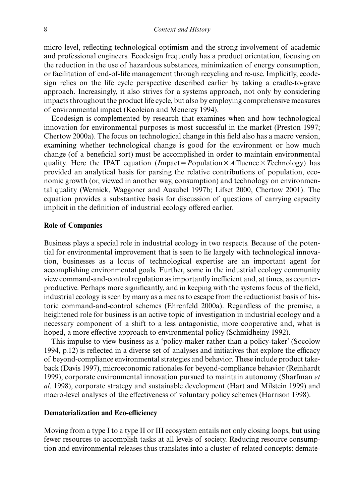micro level, reflecting technological optimism and the strong involvement of academic and professional engineers. Ecodesign frequently has a product orientation, focusing on the reduction in the use of hazardous substances, minimization of energy consumption, or facilitation of end-of-life management through recycling and re-use. Implicitly, ecodesign relies on the life cycle perspective described earlier by taking a cradle-to-grave approach. Increasingly, it also strives for a systems approach, not only by considering impacts throughout the product life cycle, but also by employing comprehensive measures of environmental impact (Keoleian and Menerey 1994).

Ecodesign is complemented by research that examines when and how technological innovation for environmental purposes is most successful in the market (Preston 1997; Chertow 2000a). The focus on technological change in this field also has a macro version, examining whether technological change is good for the environment or how much change (of a beneficial sort) must be accomplished in order to maintain environmental quality. Here the IPAT equation (*I*mpact*P*opulation-*A*ffluence-*T*echnology) has provided an analytical basis for parsing the relative contributions of population, economic growth (or, viewed in another way, consumption) and technology on environmental quality (Wernick, Waggoner and Ausubel 1997b; Lifset 2000, Chertow 2001). The equation provides a substantive basis for discussion of questions of carrying capacity implicit in the definition of industrial ecology offered earlier.

#### **Role of Companies**

Business plays a special role in industrial ecology in two respects. Because of the potential for environmental improvement that is seen to lie largely with technological innovation, businesses as a locus of technological expertise are an important agent for accomplishing environmental goals. Further, some in the industrial ecology community view command-and-control regulation as importantly inefficient and, at times, as counterproductive. Perhaps more significantly, and in keeping with the systems focus of the field, industrial ecology is seen by many as a means to escape from the reductionist basis of historic command-and-control schemes (Ehrenfeld 2000a). Regardless of the premise, a heightened role for business is an active topic of investigation in industrial ecology and a necessary component of a shift to a less antagonistic, more cooperative and, what is hoped, a more effective approach to environmental policy (Schmidheiny 1992).

This impulse to view business as a 'policy-maker rather than a policy-taker' (Socolow 1994, p.12) is reflected in a diverse set of analyses and initiatives that explore the efficacy of beyond-compliance environmental strategies and behavior. These include product takeback (Davis 1997), microeconomic rationales for beyond-compliance behavior (Reinhardt 1999), corporate environmental innovation pursued to maintain autonomy (Sharfman *et al*. 1998), corporate strategy and sustainable development (Hart and Milstein 1999) and macro-level analyses of the effectiveness of voluntary policy schemes (Harrison 1998).

#### **Dematerialization and Eco-efficiency**

Moving from a type I to a type II or III ecosystem entails not only closing loops, but using fewer resources to accomplish tasks at all levels of society. Reducing resource consumption and environmental releases thus translates into a cluster of related concepts: demate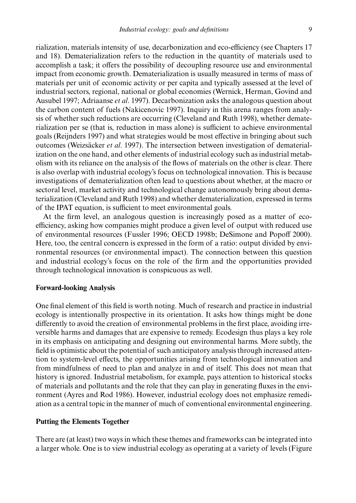rialization, materials intensity of use, decarbonization and eco-efficiency (see Chapters 17 and 18). Dematerialization refers to the reduction in the quantity of materials used to accomplish a task; it offers the possibility of decoupling resource use and environmental impact from economic growth. Dematerialization is usually measured in terms of mass of materials per unit of economic activity or per capita and typically assessed at the level of industrial sectors, regional, national or global economies (Wernick, Herman, Govind and Ausubel 1997; Adriaanse *et al*. 1997). Decarbonization asks the analogous question about the carbon content of fuels (Nakicenovic 1997). Inquiry in this arena ranges from analysis of whether such reductions are occurring (Cleveland and Ruth 1998), whether dematerialization per se (that is, reduction in mass alone) is sufficient to achieve environmental goals (Reijnders 1997) and what strategies would be most effective in bringing about such outcomes (Weizsäcker *et al*. 1997). The intersection between investigation of dematerialization on the one hand, and other elements of industrial ecology such as industrial metabolism with its reliance on the analysis of the flows of materials on the other is clear. There is also overlap with industrial ecology's focus on technological innovation. This is because investigations of dematerialization often lead to questions about whether, at the macro or sectoral level, market activity and technological change autonomously bring about dematerialization (Cleveland and Ruth 1998) and whether dematerialization, expressed in terms of the IPAT equation, is sufficient to meet environmental goals.

At the firm level, an analogous question is increasingly posed as a matter of ecoefficiency, asking how companies might produce a given level of output with reduced use of environmental resources (Fussler 1996; OECD 1998b; DeSimone and Popoff 2000). Here, too, the central concern is expressed in the form of a ratio: output divided by environmental resources (or environmental impact). The connection between this question and industrial ecology's focus on the role of the firm and the opportunities provided through technological innovation is conspicuous as well.

#### **Forward-looking Analysis**

One final element of this field is worth noting. Much of research and practice in industrial ecology is intentionally prospective in its orientation. It asks how things might be done differently to avoid the creation of environmental problems in the first place, avoiding irreversible harms and damages that are expensive to remedy. Ecodesign thus plays a key role in its emphasis on anticipating and designing out environmental harms. More subtly, the field is optimistic about the potential of such anticipatory analysis through increased attention to system-level effects, the opportunities arising from technological innovation and from mindfulness of need to plan and analyze in and of itself. This does not mean that history is ignored. Industrial metabolism, for example, pays attention to historical stocks of materials and pollutants and the role that they can play in generating fluxes in the environment (Ayres and Rod 1986). However, industrial ecology does not emphasize remediation as a central topic in the manner of much of conventional environmental engineering.

## **Putting the Elements Together**

There are (at least) two ways in which these themes and frameworks can be integrated into a larger whole. One is to view industrial ecology as operating at a variety of levels (Figure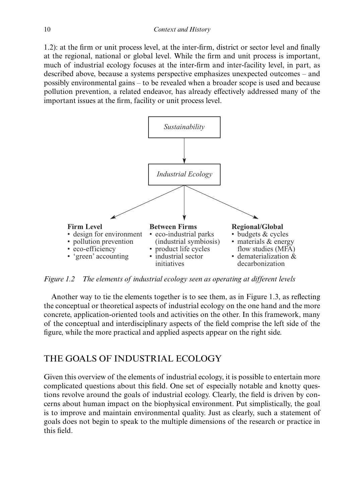1.2): at the firm or unit process level, at the inter-firm, district or sector level and finally at the regional, national or global level. While the firm and unit process is important, much of industrial ecology focuses at the inter-firm and inter-facility level, in part, as described above, because a systems perspective emphasizes unexpected outcomes – and possibly environmental gains – to be revealed when a broader scope is used and because pollution prevention, a related endeavor, has already effectively addressed many of the important issues at the firm, facility or unit process level.



*Figure 1.2 The elements of industrial ecology seen as operating at different levels*

Another way to tie the elements together is to see them, as in Figure 1.3, as reflecting the conceptual or theoretical aspects of industrial ecology on the one hand and the more concrete, application-oriented tools and activities on the other. In this framework, many of the conceptual and interdisciplinary aspects of the field comprise the left side of the figure, while the more practical and applied aspects appear on the right side.

## THE GOALS OF INDUSTRIAL ECOLOGY

Given this overview of the elements of industrial ecology, it is possible to entertain more complicated questions about this field. One set of especially notable and knotty questions revolve around the goals of industrial ecology. Clearly, the field is driven by concerns about human impact on the biophysical environment. Put simplistically, the goal is to improve and maintain environmental quality. Just as clearly, such a statement of goals does not begin to speak to the multiple dimensions of the research or practice in this field.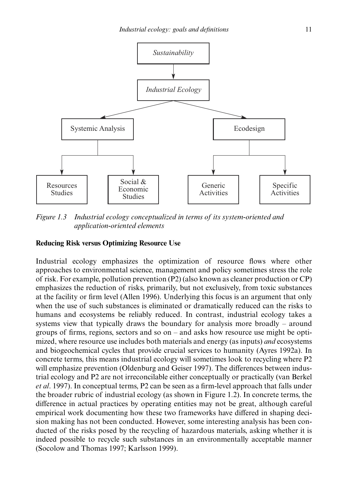

*Figure 1.3 Industrial ecology conceptualized in terms of its system-oriented and application-oriented elements*

#### **Reducing Risk versus Optimizing Resource Use**

Industrial ecology emphasizes the optimization of resource flows where other approaches to environmental science, management and policy sometimes stress the role of risk. For example, pollution prevention (P2) (also known as cleaner production or CP) emphasizes the reduction of risks, primarily, but not exclusively, from toxic substances at the facility or firm level (Allen 1996). Underlying this focus is an argument that only when the use of such substances is eliminated or dramatically reduced can the risks to humans and ecosystems be reliably reduced. In contrast, industrial ecology takes a systems view that typically draws the boundary for analysis more broadly – around groups of firms, regions, sectors and so on – and asks how resource use might be optimized, where resource use includes both materials and energy (as inputs) *and* ecosystems and biogeochemical cycles that provide crucial services to humanity (Ayres 1992a). In concrete terms, this means industrial ecology will sometimes look to recycling where P2 will emphasize prevention (Oldenburg and Geiser 1997). The differences between industrial ecology and P2 are not irreconcilable either conceptually or practically (van Berkel *et al*. 1997). In conceptual terms, P2 can be seen as a firm-level approach that falls under the broader rubric of industrial ecology (as shown in Figure 1.2). In concrete terms, the difference in actual practices by operating entities may not be great, although careful empirical work documenting how these two frameworks have differed in shaping decision making has not been conducted. However, some interesting analysis has been conducted of the risks posed by the recycling of hazardous materials, asking whether it is indeed possible to recycle such substances in an environmentally acceptable manner (Socolow and Thomas 1997; Karlsson 1999).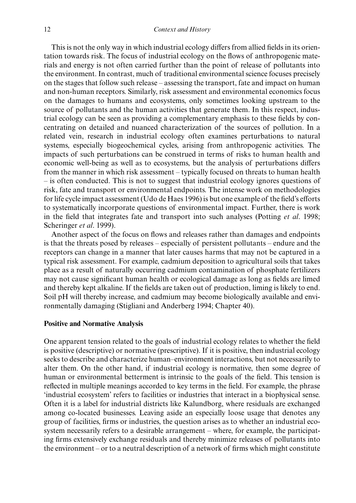This is not the only way in which industrial ecology differs from allied fields in its orientation towards risk. The focus of industrial ecology on the flows of anthropogenic materials and energy is not often carried further than the point of release of pollutants into the environment. In contrast, much of traditional environmental science focuses precisely on the stages that follow such release – assessing the transport, fate and impact on human and non-human receptors. Similarly, risk assessment and environmental economics focus on the damages to humans and ecosystems, only sometimes looking upstream to the source of pollutants and the human activities that generate them. In this respect, industrial ecology can be seen as providing a complementary emphasis to these fields by concentrating on detailed and nuanced characterization of the sources of pollution. In a related vein, research in industrial ecology often examines perturbations to natural systems, especially biogeochemical cycles, arising from anthropogenic activities. The impacts of such perturbations can be construed in terms of risks to human health and economic well-being as well as to ecosystems, but the analysis of perturbations differs from the manner in which risk assessment – typically focused on threats to human health – is often conducted. This is not to suggest that industrial ecology ignores questions of risk, fate and transport or environmental endpoints. The intense work on methodologies for life cycle impact assessment (Udo de Haes 1996) is but one example of the field's efforts to systematically incorporate questions of environmental impact. Further, there is work in the field that integrates fate and transport into such analyses (Potting *et al*. 1998; Scheringer *et al*. 1999).

Another aspect of the focus on flows and releases rather than damages and endpoints is that the threats posed by releases – especially of persistent pollutants – endure and the receptors can change in a manner that later causes harms that may not be captured in a typical risk assessment. For example, cadmium deposition to agricultural soils that takes place as a result of naturally occurring cadmium contamination of phosphate fertilizers may not cause significant human health or ecological damage as long as fields are limed and thereby kept alkaline. If the fields are taken out of production, liming is likely to end. Soil pH will thereby increase, and cadmium may become biologically available and environmentally damaging (Stigliani and Anderberg 1994; Chapter 40).

### **Positive and Normative Analysis**

One apparent tension related to the goals of industrial ecology relates to whether the field is positive (descriptive) or normative (prescriptive). If it is positive, then industrial ecology seeks to describe and characterize human–environment interactions, but not necessarily to alter them. On the other hand, if industrial ecology is normative, then some degree of human or environmental betterment is intrinsic to the goals of the field. This tension is reflected in multiple meanings accorded to key terms in the field. For example, the phrase 'industrial ecosystem' refers to facilities or industries that interact in a biophysical sense. Often it is a label for industrial districts like Kalundborg, where residuals are exchanged among co-located businesses. Leaving aside an especially loose usage that denotes any group of facilities, firms or industries, the question arises as to whether an industrial ecosystem necessarily refers to a desirable arrangement – where, for example, the participating firms extensively exchange residuals and thereby minimize releases of pollutants into the environment – or to a neutral description of a network of firms which might constitute